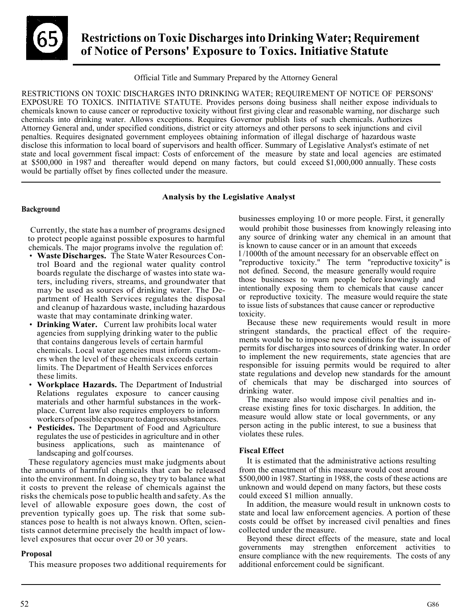

# **Restrictions on Toxic Discharges into Drinking Water; Requirement of Notice of Persons' Exposure to Toxics. Initiative Statute**

Official Title and Summary Prepared by the Attorney General

 chemicals known to cause cancer or reproductive toxicity without first giving clear and reasonable warning, nor discharge such disclose this information to local board of supervisors and health officer. Summary of Legislative Analyst's estimate of net state and local government fiscal impact: Costs of enforcement of the measure by state and local agencies are estimated at \$500,000 in 1987 and thereafter would depend on many factors, but could exceed \$1,000,000 annually. These costs RESTRICTIONS ON TOXIC DISCHARGES INTO DRINKING WATER; REQUIREMENT OF NOTICE OF PERSONS' EXPOSURE TO TOXICS. INITIATIVE STATUTE. Provides persons doing business shall neither expose individuals to chemicals into drinking water. Allows exceptions. Requires Governor publish lists of such chemicals. Authorizes Attorney General and, under specified conditions, district or city attorneys and other persons to seek injunctions and civil penalties. Requires designated government employees obtaining information of illegal discharge of hazardous waste would be partially offset by fines collected under the measure.

# **Analysis by the Legislative Analyst**

# **Background**

 Currently, the state has a number of programs designed to protect people against possible exposures to harmful chemicals. The major programs involve the regulation of:

- **Waste Discharges.** The State Water Resources Con- boards regulate the discharge of wastes into state wa- ters, including rivers, streams, and groundwater that may be used as sources of drinking water. The De- and cleanup of hazardous waste, including hazardous waste that may contaminate drinking water. trol Board and the regional water quality control partment of Health Services regulates the disposal
- **Drinking Water.** Current law prohibits local water agencies from supplying drinking water to the public that contains dangerous levels of certain harmful chemicals. Local water agencies must inform custom- ers when the level of these chemicals exceeds certain limits. The Department of Health Services enforces these limits.
- **Workplace Hazards.** The Department of Industrial Relations regulates exposure to cancer causing materials and other harmful substances in the workplace. Current law also requires employers to inform workers of possible exposure to dangerous substances.
- regulates the use of pesticides in agriculture and in other • **Pesticides.** The Department of Food and Agriculture business applications, such as maintenance of landscaping and golf courses.

 These regulatory agencies must make judgments about into the environment. In doing so, they try to balance what it costs to prevent the release of chemicals against the risks the chemicals pose to public health and safety. As the level of allowable exposure goes down, the cost of prevention typically goes up. The risk that some sub- stances pose to health is not always known. Often, scien- tists cannot determine precisely the health impact of low- level exposures that occur over 20 or 30 years. the amounts of harmful chemicals that can be released

### **Proposal**

This measure proposes two additional requirements for

 would prohibit those businesses from knowingly releasing into any source of drinking water any chemical in an amount that businesses employing 10 or more people. First, it generally is known to cause cancer or in an amount that exceeds l /1000th of the amount necessary for an observable effect on "reproductive toxicity." The term "reproductive toxicity" is not defined. Second, the measure generally would require those businesses to warn people before knowingly and intentionally exposing them to chemicals that cause cancer or reproductive toxicity. The measure would require the state to issue lists of substances that cause cancer or reproductive toxicity.

 Because these new requirements would result in more ments would be to impose new conditions for the issuance of permits for discharges into sources of drinking water. In order to implement the new requirements, state agencies that are responsible for issuing permits would be required to alter stringent standards, the practical effect of the requirestate regulations and develop new standards for the amount of chemicals that may be discharged into sources of drinking water.

 person acting in the public interest, to sue a business that The measure also would impose civil penalties and increase existing fines for toxic discharges. In addition, the measure would allow state or local governments, or any violates these rules.

# **Fiscal Effect**

 from the enactment of this measure would cost around unknown and would depend on many factors, but these costs could exceed \$1 million annually. It is estimated that the administrative actions resulting \$500,000 in 1987. Starting in 1988, the costs of these actions are

 In addition, the measure would result in unknown costs to state and local law enforcement agencies. A portion of these costs could be offset by increased civil penalties and fines collected under the measure.

 Beyond these direct effects of the measure, state and local ensure compliance with the new requirements. The costs of any governments may strengthen enforcement activities to additional enforcement could be significant.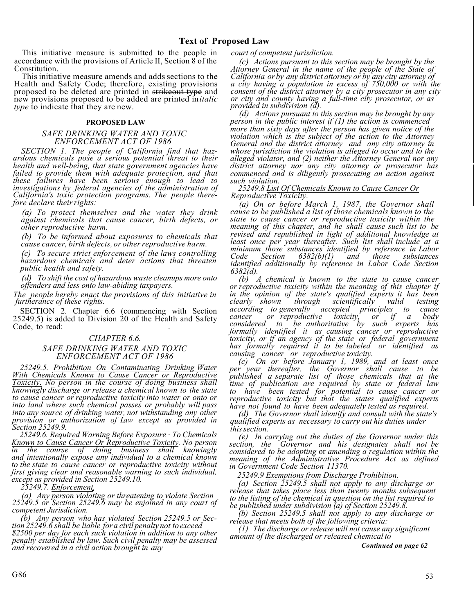This initiative measure is submitted to the people in accordance with the provisions of Article II, Section 8 of the Constitution.

 This initiative measure amends and adds sections to the new provisions proposed to be added are printed in*italic*  Health and Safety Code; therefore, existing provisions proposed to be deleted are printed in strikeout type and *type* to indicate that they are new.

### **PROPOSED LAW**

### *SAFE DRINKING WATER AND TOXIC ENFORCEMENT ACT OF 1986*

 *SECTION 1. The people of California find that hazfailed to provide them with adequate protection, and that* California's toxic protection programs. The people there*ardous chemicals pose a serious potential threat to their health and well-being, that state government agencies have these failures have been serious enough to lead to investigations by federal agencies of the administration of California's toxic protection programs. The people therefore declare their rights:* 

 *(a) To protect themselves and the water they drink against chemicals that cause cancer, birth defects, or other reproductive harm.* 

 *(b) To be informed about exposures to chemicals that cause cancer, birth defects, or other reproductive harm.* 

*(c)* To secure strict enforcement of the laws controlling hazardous chemicals and deter actions that threaten *public health and safety.* 

 *(d) To shift the cost of hazardous waste cleanups more onto offenders and less onto law-abiding taxpayers.* 

 *furtherance of these rights. The people hereby enact the provisions of this initiative in* 

 25249.5) is added to Division 20 of the Health and Safety SECTION 2. Chapter 6.6 (commencing with Section Code, to read:

### *CHAPTER 6.6.*

### *ENFORCEMENT ACT OF 1986 SAFE DRINKING WATER AND TOXIC*

 *With Chemicals Known to Cause Cancer or Reproductive to cause cancer or reproductive toxicity into water or onto or*  into any source of drinking water, not withstanding any other *25249.5. Prohibition On Contaminating Drinking Water Toxicity. No person in the course of doing business shall knowingly discharge or release a chemical known to the state into land where such chemical passes or probably will pass provision or authorization of Law except as provided in Section 25249.9.* 

*25249.6. Required Warning Before Exposure* · *To Chemicals*  Known to Cause Cancer Or Reproductive Toxicity. No person<br>in the course of doing business shall knowingly<br>and intentionally expose any individual to a chemical known<br>to the state to cause cancer or reproductive toxicity wi *except as provided in Section 25249.10.* 

*25249.7. Enforcement.* 

*(a) Any person violating or threatening to violate Section 25249.5 or Section 25249.6 may be enjoined in any court of competent Jurisdiction.*

*(b) Any person who has violated Section 25249.5 or Section 25249.6 shall be liable for a civi<sup>l</sup> penalty not to exceed \$2500 per day for each such violation in addition to any other penalty established by law. Such civil penalty may be assessed and recovered in a civil action brought in any* 

 *court of competent jurisdiction.*

 *(c) Actions pursuant to this section may be brought by the Attorney General in the name of the people of the State of California or by any district attorney or by any city attorney of a city having a population in excess of 750,000 or with the consent of the district attorney by a city prosecutor in any city or city and county having a full-time city prosecutor, or as provided in subdivision (d).* 

 *General and the district attorney and any city attorney in (d) Actions pursuant to this section may be brought by any person in the public interest if (1) the action is commenced more than sixty days after the person has given notice of the violation which is the subject of the action to the Attorney whose jurisdiction the violation is alleged to occur and to the alleged violator, and (2) neither the Attorney General nor any district attorney nor any city attorney or prosecutor has commenced and is diligently prosecuting an action against such violation.* 

### *25249.8 List Of Chemicals Known to Cause Cancer Or Reproductive Toxicity.*

*(a) On or before March 1, 1987, the Governor shall cause to be published a list of those chemicals known to the state to cause cancer or reproductive toxicity within the meaning of this chapter, and he shall cause such list to be revised and republished in light of additional knowledge at least once per year thereafter. Such list shall include at a minimum those substances identified by reference in Labor Code Section 6382(b)(1) and those substances identified additionally by reference in Labor Code Section 6382(d).* 

 *or reproductive toxicity within the meaning of this chapter if formally identified it as causing cancer or reproductive 6382(d). (b) A chemical is known to the state to cause cancer in the opinion of the state's qualified experts it has been clearly shown through scientifically valid testing according to generally accepted principles to cause cancer or reproductive toxicity, or if a body considered to be authoritative by such experts has toxicity, or if an agency of the state or federal government has formally required it to be labeled or identified as causing cancer or reproductive toxicity.* 

*(c) On or before January 1, 1989, and at least once per year thereafter, the Governor shall cause to be published a separate list of those chemicals that at the time of publication are required by state or federal law to have been tested for potential to cause cancer or reproductive toxicity but that the states qualified experts have not found to have been adequately tested as required.* 

*(d) The Governor shall identify and consult with the state's qualified experts as necessary to carry out his duties under this section.* 

 *(e) In carrying out the duties of the Governor under this considered to be adopting* or *amending a regulation within the section, the Governor and his designates shall not be meaning of the Administrative Procedure Act as defined in Government Code Section 11370.* 

*25249.9 Exemptions from Discharge Prohibition.*

(a) Section  $\overline{25249.5}$  shall not apply to any discharge or release that takes place less than twenty months subsequent *(a) Section 25249.5 shall not apply to any discharge or release that takes place less than twenty months subsequent to the listing of the chemical in question on the list required to be published under subdivision (a) of Section 25249.8.*

*(b) Section 25249.5 shall not apply to any discharge or release that meets both of the following criteria:* 

*(1) The discharge or release will not cause any significant amount of the discharged or released chemical to* 

*Continued on page 62*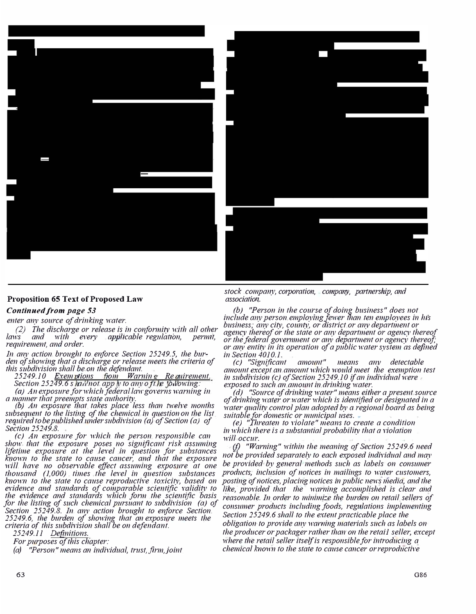



# **Proposition 65 Text of Proposed Law**

### *Continued from page 53*

*enter any source of drinking water.* 

*(2) The discharge or release is in conformity with all other laws and with every applicable regulation, permit, requirement, and order.* 

*In any action brought to enforce Section 25249.5, the burden of showing that a discharge or release meets the criteria of* 

*this subdivision shall be on the defendant. 25249.10 Exem lions om Warnin Re uirement. Section 25249.6 s hall not app ly to any of the following:* 

*( a) An exposure for which fed era I law governs warning in* 

*(b) An exposure that takes place less than twelve months subsequent to the listing of the chemical in question on the list required to be published under subdivision (a) of Section (a) of Section 25249.8.* 

*show* that the exposure poses no significant risk assuming known to the state to cause cancer, and that the exposure<br>will have no observable effect assuming exposure at one  *known to the state to cause reproductive toxicity, based on (c) An exposure for which the person responsible can* lifetime exposure at the level in question for substances *thousand (I,000) times the level in question substances evidence and standards of comparable scientific validity to the evidence and standards which form the scientific basis for the listing of such chemical pursuant to subdivision (a) of Section 25249.8. In any action brought to enforce Section 25249.6, the burden of showing that an exposure meets the criteria of this subdivision shall be on defendant.* 

*25249.11 Definitions.* 

*For purposes of this chapter:*

*(a) "Person" means an individual, trust,firm,joint*

*stock company, corporation, company, partnership, and association.* 

*(b)* "Person in the course of doing business" does not *include any person employing fewer than ten employees in his business; any city, county, or district or any department or agency thereof or the state or any department or agency thereof or the federal government or any department or agency thereof; or any entity in its operation of a public water system as defined in Section 4010.1.* 

*(c) "Significant amount" means any detectable amount except an amount which would meet the exemption test in subdivision (c) of Section 25249.10 if an individual were exposed to such an amount in drinking water.* 

*(d) "Source ofdrinking water"means either a present source of drinking water or water which is identified or designated in a water quality control plan adopted by a regional board as being suitable for domestic or municipal uses.* 

 *in which there is a substantial probability that a violation (e) "Threaten to violate" means to create a condition will occur.* 

*(f)* "Warning" within the meaning of Section 25249.6 need *no{be provided separately to each exposed individual and may be provided by general methods such as labels on consumer products, inclusion of notices in mailings to water customers, posting of notices, placing notices in public news media, and the like, provided that the warning accomplished is clear and reasonable. In order to minimize the burden on retail sellers of consumer products including foods, regulations implementing Section 25249.6 shall to the extent practicable place the obligation to provide any warning materials such as labels on the producer or packager rather than on the retail seller, except where the retail seller itself is responsible for introducing a chemical known to the state to cause cancer orreproductive*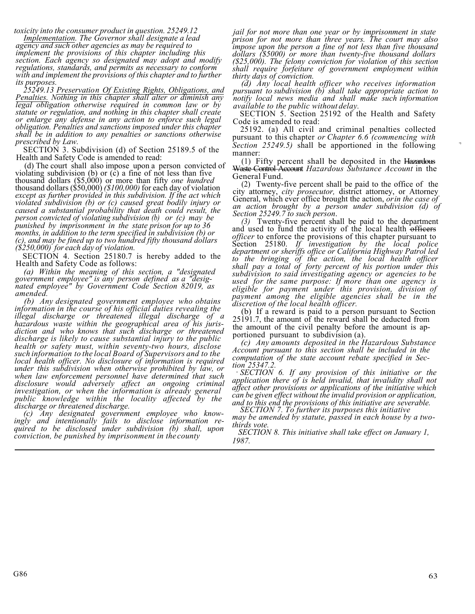*toxicity into the consumer product in question. 25249.12* 

*Implementation. The Governor shall designate a lead agency and such other agencies as may be required to implement the provisions of this chapter including this section. Each agency so designated may adopt and modify regulations, standards, and permits as necessary to conform with and implement the provisions of this chapter and to further its purposes.* 

*25249.13 Preservation Of Existing Rights, Obligations, and <i><u>Pegal obligation</u>* otherwise required in common law or by *statute or regulation, and nothing in this chapter shall create obligation. Penalties and sanctions imposed under this chapter shall be in addition to any penalties or sanctions otherwise prescribed by Law.* 

 Health and Safety Code is amended to read: SECTION 3. Subdivision (d) of Section 25189.5 of the

*months, in addition to the term specified in subdivision (b) or (c), and may be fined up to two hundred fifty thousand dollars*  (d) The court shall also impose upon a person convicted of violating subdivision (b) or  $(c)$  a fine of not less than five thousand dollars (\$5,000) or more than fifty *one hundred*  thousand dollars (\$50,000) *(\$100,000)* for each day of violation *except as further provided in this subdivision. If the act which violated subdivision (b) or (c) caused great bodily injury or caused a substantial probability that death could result, the person convicted of violating subdivision (b) or (c) may be punished by imprisonment in the state prison for up to 36 (\$250,000) for each day of violation.* 

 Health and Safety Code as follows: SECTION 4. Section 25180.7 is hereby added to the

*(a) Within the meaning of this section, a "designated government employee" is any person defined as a "desig nated employee" by Government Code Section 82019, as amended.* 

*(b) Any designated government employee who obtains information in the course of his official duties revealing the illegal discharge or threatened illegal discharge of a hazardous waste within the geographical area of his jurisdiction and who knows that such discharge or threatened discharge is likely to cause substantial injury to the public health or safety must, within seventy-two hours, disclose such information to the local Board of Supervisors and to the local health officer. No disclosure of information is required under this subdivision when otherwise prohibited by law, or when law enforcement personnel have determined that such disclosure would adversely affect an ongoing criminal investigation, or when the information is already general public knowledge within the locality affected by the discharge or threatened discharge.*

 *conviction, be punished by imprisonment in the county (c) Any designated government employee who knowingly and intentionally fails to disclose information required to be disclosed under subdivision (b) shall, upon*

*jail for not more than one year or by imprisonment in state prison for not more than three years. The court may also impose upon the person a fine of not less than five thousand dollars (\$5000) or more than twenty-five thousand dollars (\$25,000). The felony conviction for violation of this section shall require forfeiture of government employment within thirty days of conviction.* 

 *notify local news media and shall make such information (d) Any local health officer who receives information pursuant to subdivision (b) shall take appropriate action to available to the public without delay.* 

SECTION 5. Section 25192 of the Health and Safety Code is amended to read:

pursuant to this chapter or Chapter 6.6 (commencing with 25192. (a) All civil and criminal penalties collected *Section 25249.5)* shall be apportioned in the following manner:

(1) Fifty percent shall be deposited in the Hazardous Waste Control Account *Hazardous Substance Account* in the General Fund.

(2) Twenty-five percent shall be paid to the office of the (2) Twenty-five percent shall be paid to the office of the city attorney, *city prosecutor*, district attorney, or Attorney General, which ever office brought the action, *or in the case of an action brought by a person* 

 *(3)* Twenty-five percent shall be paid to the department  *department or sheriffs office or California Highway Patrol led discretion of the local health officer.*  and used to fund the activity of the local health officers *officer* to enforce the provisions of this chapter pursuant to Section 25180. If investigation by the local police *to the bringing of the action, the local health officer shall pay a total of forty percent of his portion under this subdivision to said investigating agency or agencies to be used for the same purpose: If more than one agency is eligible for payment under this provision, division of payment among the eligible agencies shall be in the* 

(b) If a reward is paid to a person pursuant to Section 25191.7, the amount of the reward shall be deducted from the amount of the civil penalty before the amount is apportioned pursuant to subdivision (a).

*(c) Any amounts deposited in the Hazardous Substance Account pursuant to this section shall be included in the computation of the state account rebate specified in Section 25347.2.* 

 *affect other provisions or applications of the initiative which*  · *SECTION 6. If any provision of this initiative or the application there of is held invalid, that invalidity shall not can be given effect without the invalid provision or application, and to this end the provisions of this initiative are severable.*

 *may be amended by statute, passed in each house by a two- thirds vote. SECTION 7. To further its purposes this initiative* 

*SECTION 8. This initiative shall take effect on January 1, 1987.*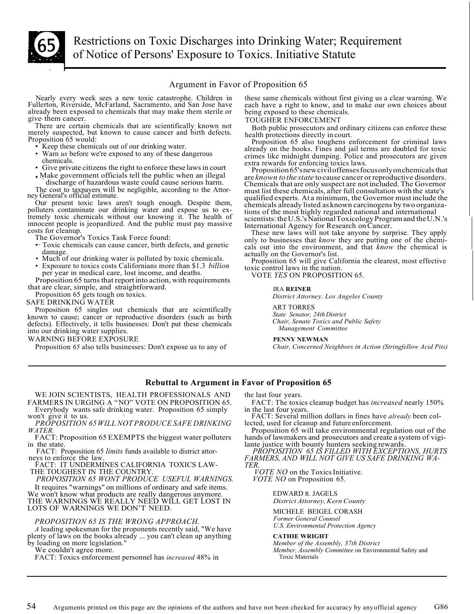

 Restrictions on Toxic Discharges into Drinking Water; Requirement of Notice of Persons' Exposure to Toxics. Initiative Statute

# Argument in Favor of Proposition 65

Fullerton, Riverside, McFarland, Sacramento, and San Jose have each have a right to know, and to make our own choices about already been exposed to chemicals that may make them sterile or being exposed to these chemicals.<br>give- them cancer.<br>TOUGHER ENFORCEMENT<br>There are certain chemicals that are scientifically known not<br>Roth public prosecutors

- 
- Keep these chemicals out of our drinking water.<br>Warn us before we're exposed to any of these dangerous
- 
- Make government officials tell the public when an illegal .

discharge of hazardous waste could cause serious harm. The cost to taxpayers will be negligible, according to the Attorney General's official estimate.

Our present toxic laws aren't tough enough. Despite them, polluters contaminate our drinking water and expose us to ex- tremely toxic chemicals without our knowing it. The health of innocent people is jeopardized. And the public must pay massive costs for cleanup.

The Governor's Toxics Task Force found:

- •· Toxic chemicals can cause cancer, birth defects, and genetic damage.
- 
- • Much of our drinking water is polluted by toxic chemicals. Exposure to toxics costs Californians more than \$1.3 *billion*  per year in medical care, lost income, and deaths.

 that are clear, simple, and straightforward. Proposition 65 turns that report into action, with requirements

Proposition 65 gets tough on toxics.

SAFE DRINKING WATER

 defects). Effectively, it tells businesses: Don't put these chemicals Proposition 65 singles out chemicals that are scientifically known to cause; cancer or reproductive disorders (such as birth into our drinking water supplies.

WARNING BEFORE EXPOSURE

Proposition *65* also tells businesses: Don't expose us to any of

these same chemicals without first giving us a clear warning. We each have a right to know, and to make our own choices about Nearly every week sees a new toxic catastrophe. Children in these same chemicals without first giving us a clear warning. We

Both public prosecutors and ordinary citizens can enforce these

health protections directly in court.<br>Proposition 65 also toughens enforcement for criminal laws There are certain chemicals that are scientifically known not<br>
merely suspected, but known to cause cancer and birth defects.<br>
Proposition 65 would:<br>
• Keep these chemicals out of our drinking water.<br>
• Warn us before we'r

 chemicals already listed as known carcinogens by two organiza-Proposition 65's new civil of fenses focus only on chemicals that are *known to the state* to cause cancer or reproductive disorders. Chemicals that are only suspect are not included. The Governor must list these chemicals, after full consultation with the state's qualified experts. At a minimum, the Governor must include the tions of the most highly regarded national and international scientists:theU.S.'sNationalToxicologyProgram and theU.N.'s International Agency for Research on Cancer.

 These new laws will not take anyone by surprise. They apply actually on the Governor's list. only to businesses that *know* they are putting one of the chemicals out into the environment, and that *know* the chemical is

Proposition 65 will give California the clearest, most effective toxic control laws in the nation.

VOTE *YES* ON PROPOSITION 65.

#### IRA **REINER**

 *District Attorney, Los Angeles County* 

ART TORRES

*State Senator, 24th District Chair, Senate Toxics and Public Safety Management Committee* 

#### **PENNY NEWMAN**

*Chair, Concerned Neighbors in Action (Stringfellow Acid Pits)* 

# **Rebuttal to Argument in Favor of Proposition 65**

 WE JOIN SCIENTISTS, HEALTH PROFESSIONALS AND FARMERS IN URGING A "NO" VOTE ON PROPOSITION 65.

Everybody wants safe drinking water. Proposition 65 simply won't give it to us.

won't 1 give it to us. *PROPOSITION 65WILL NOT PRODUCE SAFE DRINKING WATER.* 

FACT: Proposition 65 EXEMPTS the biggest water polluters in the state.

FACT: Proposition 65 *limits* funds available to district attor-<br>neys to enforce the law.

FA<sup>C</sup>T: IT UNDERMINES CALIFORNIA TOXICS LAW- THE TOUGHEST IN THE COUNTRY.

*PROPOSITION 65 WONT PRODUCE USEFUL WARNINGS.*  It requires "warnings" on millions of ordinary and safe items. We won't know what products are really dangerous anymore.

 THE WARNINGS WE REALLY NEED WILL GET LOST IN LOTS OF WARNINGS WE DON'T NEED.

### *PROPOSITION 65 IS THE WRONG APPROACH.*

*A* leading spokesman for the proponents recently said, "We have plenty of laws on the books already ... you can't clean up anything by loading on more legislation."

We couldn't agree more.

FACT: Toxics enforcement personnel has *increased* 48% in

the last four years.

FACT: The toxics cleanup budget has *increased* nearly 150%

in the last four years. FACT: Several million dollars in fines have *already* been col- lected, used for cleanup and future enforcement.

Proposition 65 will take environmental regulation out of the hands of lawmakers and prosecutors and create a system of vigi-<br>lante justice with bounty hunters seeking rewards.

*PROPOSITION 65 IS FILLED WITH EXCEPTIONS, HURTS FARMERS, AND WILL NOT GIVE US SAFE DRINKING WA- TER.* 

 *VOTE NO* on the Toxics Initiative. *VOTE NO* on Proposition 65.

EDWARD R. JAGELS

*District Attorney, Kern County* 

MICHELE BEIGEL CORASH *Former General Counsel* 

*U.S. Environmental Protection Agency* 

**CATHIE WRIGHT** 

*Member of the Assembly, 37th District*

*Member, Assembly Committee* on Environmental Safety and Toxic Materials